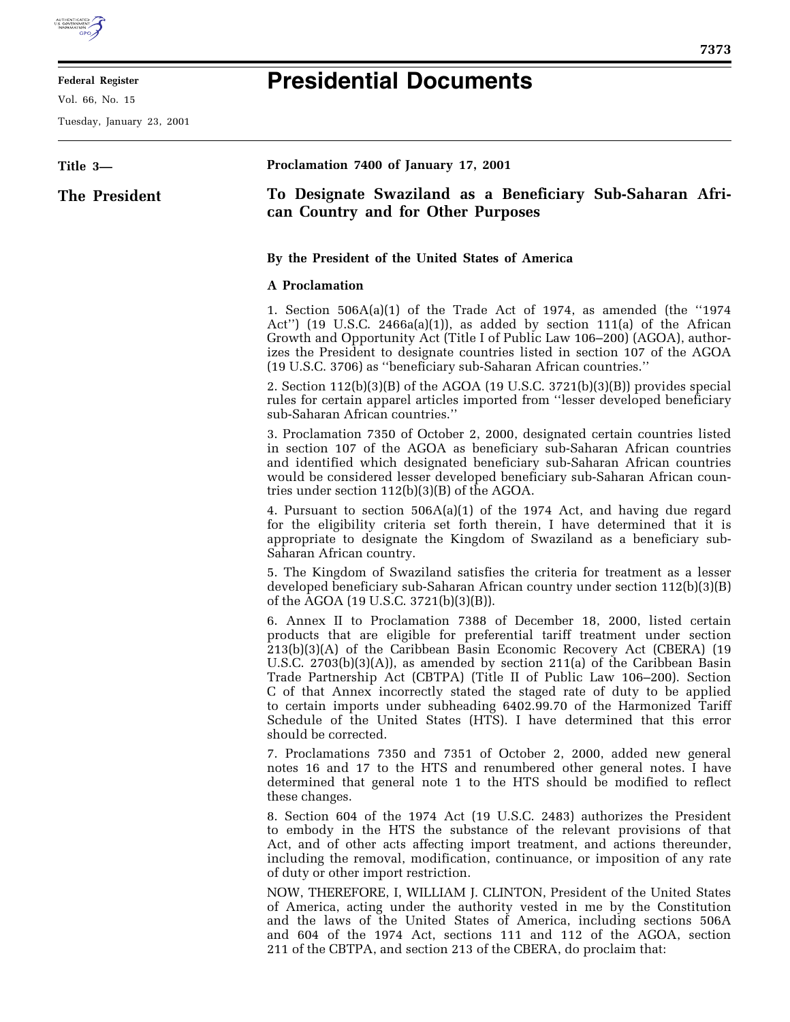

E

## **Federal Register**

Vol. 66, No. 15

Tuesday, January 23, 2001

## **Presidential Documents**

| Title 3-      | Proclamation 7400 of January 17, 2001                                                                                                                                                                                                                                                                                                                                                                                                                                                                                                                                                                                                                         |
|---------------|---------------------------------------------------------------------------------------------------------------------------------------------------------------------------------------------------------------------------------------------------------------------------------------------------------------------------------------------------------------------------------------------------------------------------------------------------------------------------------------------------------------------------------------------------------------------------------------------------------------------------------------------------------------|
| The President | To Designate Swaziland as a Beneficiary Sub-Saharan Afri-<br>can Country and for Other Purposes                                                                                                                                                                                                                                                                                                                                                                                                                                                                                                                                                               |
|               | By the President of the United States of America                                                                                                                                                                                                                                                                                                                                                                                                                                                                                                                                                                                                              |
|               | <b>A</b> Proclamation                                                                                                                                                                                                                                                                                                                                                                                                                                                                                                                                                                                                                                         |
|               | 1. Section $506A(a)(1)$ of the Trade Act of 1974, as amended (the "1974<br>Act") (19 U.S.C. 2466a(a)(1)), as added by section 111(a) of the African<br>Growth and Opportunity Act (Title I of Public Law 106–200) (AGOA), author-<br>izes the President to designate countries listed in section 107 of the AGOA<br>(19 U.S.C. 3706) as "beneficiary sub-Saharan African countries."                                                                                                                                                                                                                                                                          |
|               | 2. Section $112(b)(3)(B)$ of the AGOA (19 U.S.C. 3721(b)(3)(B)) provides special<br>rules for certain apparel articles imported from "lesser developed beneficiary<br>sub-Saharan African countries."                                                                                                                                                                                                                                                                                                                                                                                                                                                         |
|               | 3. Proclamation 7350 of October 2, 2000, designated certain countries listed<br>in section 107 of the AGOA as beneficiary sub-Saharan African countries<br>and identified which designated beneficiary sub-Saharan African countries<br>would be considered lesser developed beneficiary sub-Saharan African coun-<br>tries under section $112(b)(3)(B)$ of the AGOA.                                                                                                                                                                                                                                                                                         |
|               | 4. Pursuant to section $506A(a)(1)$ of the 1974 Act, and having due regard<br>for the eligibility criteria set forth therein, I have determined that it is<br>appropriate to designate the Kingdom of Swaziland as a beneficiary sub-<br>Saharan African country.                                                                                                                                                                                                                                                                                                                                                                                             |
|               | 5. The Kingdom of Swaziland satisfies the criteria for treatment as a lesser<br>developed beneficiary sub-Saharan African country under section 112(b)(3)(B)<br>of the AGOA (19 U.S.C. 3721(b)(3)(B)).                                                                                                                                                                                                                                                                                                                                                                                                                                                        |
|               | 6. Annex II to Proclamation 7388 of December 18, 2000, listed certain<br>products that are eligible for preferential tariff treatment under section<br>$213(b)(3)(A)$ of the Caribbean Basin Economic Recovery Act (CBERA) $(19)(3)(A)$<br>U.S.C. $2703(b)(3)(A)$ , as amended by section $211(a)$ of the Caribbean Basin<br>Trade Partnership Act (CBTPA) (Title II of Public Law 106–200). Section<br>C of that Annex incorrectly stated the staged rate of duty to be applied<br>to certain imports under subheading 6402.99.70 of the Harmonized Tariff<br>Schedule of the United States (HTS). I have determined that this error<br>should be corrected. |
|               | 7. Proclamations 7350 and 7351 of October 2, 2000, added new general<br>notes 16 and 17 to the HTS and renumbered other general notes. I have<br>determined that general note 1 to the HTS should be modified to reflect<br>these changes.                                                                                                                                                                                                                                                                                                                                                                                                                    |
|               | 8. Section 604 of the 1974 Act (19 U.S.C. 2483) authorizes the President<br>to embody in the HTS the substance of the relevant provisions of that<br>Act, and of other acts affecting import treatment, and actions thereunder,<br>including the removal, modification, continuance, or imposition of any rate<br>of duty or other import restriction.                                                                                                                                                                                                                                                                                                        |
|               | NOW, THEREFORE, I, WILLIAM J. CLINTON, President of the United States<br>of America, acting under the authority vested in me by the Constitution<br>and the laws of the United States of America, including sections 506A<br>and 604 of the 1974 Act, sections 111 and 112 of the AGOA, section<br>211 of the CBTPA, and section 213 of the CBERA, do proclaim that:                                                                                                                                                                                                                                                                                          |